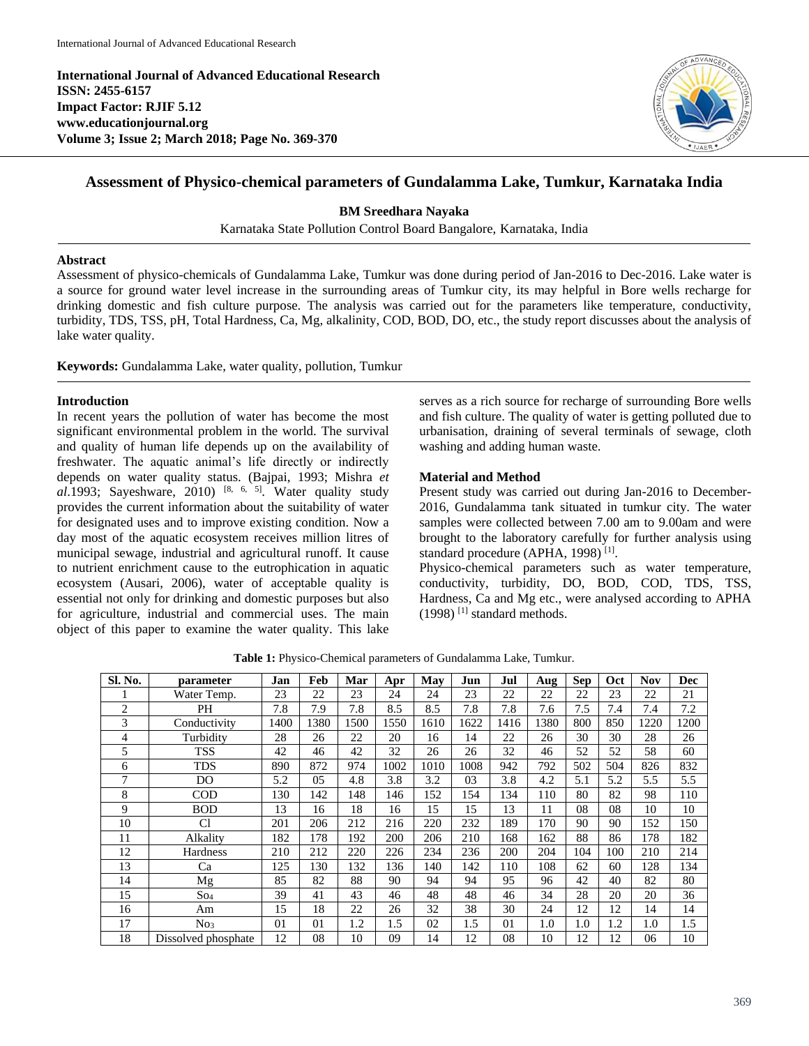**International Journal of Advanced Educational Research ISSN: 2455-6157 Impact Factor: RJIF 5.12 www.educationjournal.org Volume 3; Issue 2; March 2018; Page No. 369-370**



# **Assessment of Physico-chemical parameters of Gundalamma Lake, Tumkur, Karnataka India**

**BM Sreedhara Nayaka**

Karnataka State Pollution Control Board Bangalore, Karnataka, India

#### **Abstract**

Assessment of physico-chemicals of Gundalamma Lake, Tumkur was done during period of Jan-2016 to Dec-2016. Lake water is a source for ground water level increase in the surrounding areas of Tumkur city, its may helpful in Bore wells recharge for drinking domestic and fish culture purpose. The analysis was carried out for the parameters like temperature, conductivity, turbidity, TDS, TSS, pH, Total Hardness, Ca, Mg, alkalinity, COD, BOD, DO, etc., the study report discusses about the analysis of lake water quality.

**Keywords:** Gundalamma Lake, water quality, pollution, Tumkur

### **Introduction**

In recent years the pollution of water has become the most significant environmental problem in the world. The survival and quality of human life depends up on the availability of freshwater. The aquatic animal's life directly or indirectly depends on water quality status. (Bajpai, 1993; Mishra *et al*.1993; Sayeshware, 2010) [8, 6, 5] . Water quality study provides the current information about the suitability of water for designated uses and to improve existing condition. Now a day most of the aquatic ecosystem receives million litres of municipal sewage, industrial and agricultural runoff. It cause to nutrient enrichment cause to the eutrophication in aquatic ecosystem (Ausari, 2006), water of acceptable quality is essential not only for drinking and domestic purposes but also for agriculture, industrial and commercial uses. The main object of this paper to examine the water quality. This lake

serves as a rich source for recharge of surrounding Bore wells and fish culture. The quality of water is getting polluted due to urbanisation, draining of several terminals of sewage, cloth washing and adding human waste.

## **Material and Method**

Present study was carried out during Jan-2016 to December-2016, Gundalamma tank situated in tumkur city. The water samples were collected between 7.00 am to 9.00am and were brought to the laboratory carefully for further analysis using standard procedure (APHA, 1998)<sup>[1]</sup>.

Physico-chemical parameters such as water temperature, conductivity, turbidity, DO, BOD, COD, TDS, TSS, Hardness, Ca and Mg etc., were analysed according to APHA  $(1998)$ <sup>[1]</sup> standard methods.

| Sl. No.        | parameter           | Jan  | Feb  | Mar  | Apr  | Mav  | Jun  | Jul  | Aug  | <b>Sep</b> | Oct | <b>Nov</b> | <b>Dec</b> |
|----------------|---------------------|------|------|------|------|------|------|------|------|------------|-----|------------|------------|
|                | Water Temp.         | 23   | 22   | 23   | 24   | 24   | 23   | 22   | 22   | 22         | 23  | 22         | 21         |
| $\overline{2}$ | PH                  | 7.8  | 7.9  | 7.8  | 8.5  | 8.5  | 7.8  | 7.8  | 7.6  | 7.5        | 7.4 | 7.4        | 7.2        |
| 3              | Conductivity        | 1400 | 1380 | 1500 | 1550 | 1610 | 1622 | 1416 | 1380 | 800        | 850 | 1220       | 1200       |
| 4              | Turbidity           | 28   | 26   | 22   | 20   | 16   | 14   | 22   | 26   | 30         | 30  | 28         | 26         |
| 5              | <b>TSS</b>          | 42   | 46   | 42   | 32   | 26   | 26   | 32   | 46   | 52         | 52  | 58         | 60         |
| 6              | TDS                 | 890  | 872  | 974  | 1002 | 1010 | 1008 | 942  | 792  | 502        | 504 | 826        | 832        |
| 7              | DO                  | 5.2  | 05   | 4.8  | 3.8  | 3.2  | 03   | 3.8  | 4.2  | 5.1        | 5.2 | 5.5        | 5.5        |
| 8              | <b>COD</b>          | 130  | 142  | 148  | 146  | 152  | 154  | 134  | 110  | 80         | 82  | 98         | 110        |
| 9              | <b>BOD</b>          | 13   | 16   | 18   | 16   | 15   | 15   | 13   | 11   | 08         | 08  | 10         | 10         |
| 10             | Cl                  | 201  | 206  | 212  | 216  | 220  | 232  | 189  | 170  | 90         | 90  | 152        | 150        |
| 11             | Alkality            | 182  | 178  | 192  | 200  | 206  | 210  | 168  | 162  | 88         | 86  | 178        | 182        |
| 12             | Hardness            | 210  | 212  | 220  | 226  | 234  | 236  | 200  | 204  | 104        | 100 | 210        | 214        |
| 13             | Ca                  | 125  | 130  | 132  | 136  | 140  | 142  | 110  | 108  | 62         | 60  | 128        | 134        |
| 14             | Mg                  | 85   | 82   | 88   | 90   | 94   | 94   | 95   | 96   | 42         | 40  | 82         | 80         |
| 15             | So <sub>4</sub>     | 39   | 41   | 43   | 46   | 48   | 48   | 46   | 34   | 28         | 20  | 20         | 36         |
| 16             | Am                  | 15   | 18   | 22   | 26   | 32   | 38   | 30   | 24   | 12         | 12  | 14         | 14         |
| 17             | No3                 | 01   | 01   | 1.2  | 1.5  | 02   | 1.5  | 01   | 1.0  | 1.0        | 1.2 | 1.0        | 1.5        |
| 18             | Dissolved phosphate | 12   | 08   | 10   | 09   | 14   | 12   | 08   | 10   | 12         | 12  | 06         | 10         |

**Table 1:** Physico-Chemical parameters of Gundalamma Lake, Tumkur.